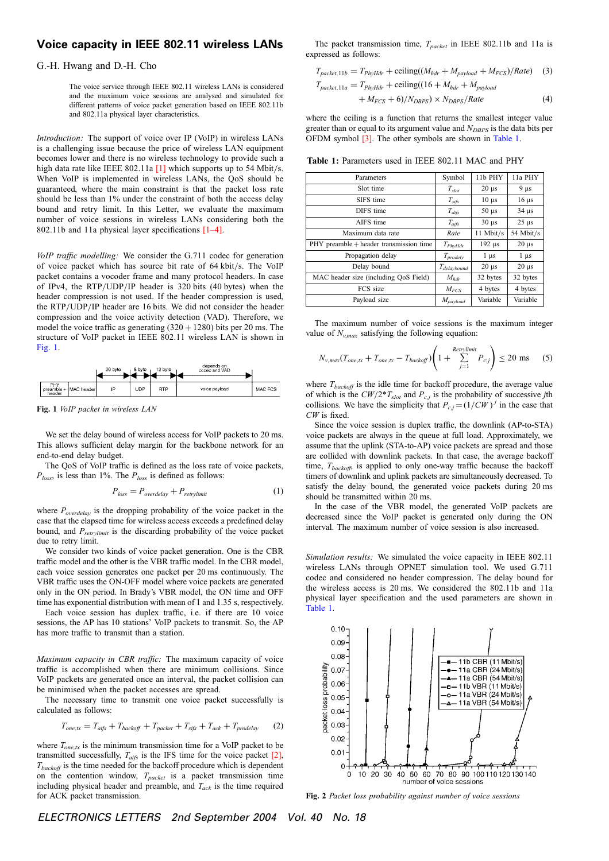## Voice capacity in IEEE 802.11 wireless LANs

G.-H. Hwang and D.-H. Cho

The voice service through IEEE 802.11 wireless LANs is considered and the maximum voice sessions are analysed and simulated for different patterns of voice packet generation based on IEEE 802.11b and 802.11a physical layer characteristics.

Introduction: The support of voice over IP (VoIP) in wireless LANs is a challenging issue because the price of wireless LAN equipment becomes lower and there is no wireless technology to provide such a high data rate like IEEE 802.11a  $[1]$  which supports up to 54 Mbit/s. When VoIP is implemented in wireless LANs, the QoS should be guaranteed, where the main constraint is that the packet loss rate should be less than 1% under the constraint of both the access delay bound and retry limit. In this Letter, we evaluate the maximum number of voice sessions in wireless LANs considering both the 802.11b and 11a physical layer specifications [1–4].

VoIP traffic modelling: We consider the G.711 codec for generation of voice packet which has source bit rate of 64 kbit/s. The VoIP packet contains a vocoder frame and many protocol headers. In case of IPv4, the  $RTP/UDP/IP$  header is 320 bits (40 bytes) when the header compression is not used. If the header compression is used, the RTP/UDP/IP header are 16 bits. We did not consider the header compression and the voice activity detection (VAD). Therefore, we model the voice traffic as generating  $(320 + 1280)$  bits per 20 ms. The structure of VoIP packet in IEEE 802.11 wireless LAN is shown in Fig. 1.

|                                |            | 20 byte | 8 byte | 12 byte    | depends on<br>codec and VAD |         |
|--------------------------------|------------|---------|--------|------------|-----------------------------|---------|
| PHY<br>$p$ reamble +<br>header | MAC header | IP      | UDP    | <b>RTP</b> | voice payload               | MAC FCS |

Fig. 1 VoIP packet in wireless LAN

We set the delay bound of wireless access for VoIP packets to 20 ms. This allows sufficient delay margin for the backbone network for an end-to-end delay budget.

The QoS of VoIP traffic is defined as the loss rate of voice packets,  $P_{loss}$ , is less than 1%. The  $P_{loss}$  is defined as follows:

$$
P_{loss} = P_{overdelay} + P_{\text{retrylimit}} \tag{1}
$$

where  $P_{overdelay}$  is the dropping probability of the voice packet in the case that the elapsed time for wireless access exceeds a predefined delay bound, and  $P_{retrylimit}$  is the discarding probability of the voice packet due to retry limit.

We consider two kinds of voice packet generation. One is the CBR traffic model and the other is the VBR traffic model. In the CBR model, each voice session generates one packet per 20 ms continuously. The VBR traffic uses the ON-OFF model where voice packets are generated only in the ON period. In Brady's VBR model, the ON time and OFF time has exponential distribution with mean of 1 and 1.35 s, respectively.

Each voice session has duplex traffic, i.e. if there are 10 voice sessions, the AP has 10 stations' VoIP packets to transmit. So, the AP has more traffic to transmit than a station.

Maximum capacity in CBR traffic: The maximum capacity of voice traffic is accomplished when there are minimum collisions. Since VoIP packets are generated once an interval, the packet collision can be minimised when the packet accesses are spread.

The necessary time to transmit one voice packet successfully is calculated as follows:

$$
T_{one,tx} = T_{aifs} + T_{backoff} + T_{packet} + T_{sifs} + T_{ack} + T_{product}
$$
 (2)

where  $T_{one,tx}$  is the minimum transmission time for a VoIP packet to be transmitted successfully,  $T_{\text{aifs}}$  is the IFS time for the voice packet [2],  $T_{backoff}$  is the time needed for the backoff procedure which is dependent on the contention window,  $T_{packet}$  is a packet transmission time including physical header and preamble, and  $T_{ack}$  is the time required for ACK packet transmission.

The packet transmission time,  $T_{packet}$  in IEEE 802.11b and 11a is expressed as follows:

$$
T_{packet, 11b} = T_{PhyHdr} + \text{ceiling}((M_{hdr} + M_{payload} + M_{FCS})/Rate) \quad (3)
$$
  

$$
T_{packet, 11a} = T_{PhyHdr} + \text{ceiling}((16 + M_{hdr} + M_{navload})
$$

$$
+ M_{FCS} + 6)/N_{DRPS} \times N_{DRPS}/Rate \tag{4}
$$

where the ceiling is a function that returns the smallest integer value greater than or equal to its argument value and  $N_{DBPS}$  is the data bits per OFDM symbol [3]. The other symbols are shown in Table 1.

Table 1: Parameters used in IEEE 802.11 MAC and PHY

| Parameters                              | Symbol                  | 11b PHY                  | 11a PHY    |
|-----------------------------------------|-------------------------|--------------------------|------------|
| Slot time                               | $T_{slot}$              | $20 \mu s$               | $9 \mu s$  |
| SIFS time                               | $T_{\it sifs}$          | $10 \mu s$               | $16 \mu s$ |
| DIFS time                               | $T_{\it diffs}$         | $50 \mu s$               | $34 \mu s$ |
| AIFS time                               | $T_{\alpha i\beta s}$   | $30 \text{ }\mu\text{s}$ | $25 \mu s$ |
| Maximum data rate                       | Rate                    | 11 Mbit/s                | 54 Mbit/s  |
| PHY preamble + header transmission time | $T_{PhyHdr}$            | $192 \mu s$              | $20 \mu s$ |
| Propagation delay                       | $T_{\text{prodely}}$    | $1 \mu s$                | $1 \mu s$  |
| Delay bound                             | T <sub>delaybound</sub> | $20 \mu s$               | $20 \mu s$ |
| MAC header size (including OoS Field)   | $M_{hdr}$               | 32 bytes                 | 32 bytes   |
| FCS size                                | $M_{FCS}$               | 4 bytes                  | 4 bytes    |
| Payload size                            | $M_{payload}$           | Variable                 | Variable   |

The maximum number of voice sessions is the maximum integer value of  $N_{\nu max}$  satisfying the following equation:

$$
N_{v,max}(T_{one,tx} + T_{one,tx} - T_{backoff}) \left(1 + \sum_{j=1}^{Retrylimit} P_{c,j}\right) \le 20 \text{ ms}
$$
 (5)

where  $T_{backoff}$  is the idle time for backoff procedure, the average value of which is the  $CW/2^*T_{slot}$  and  $P_{c,j}$  is the probability of successive jth collisions. We have the simplicity that  $P_{c,j} = (1/CW)^{j}$  in the case that CW is fixed.

Since the voice session is duplex traffic, the downlink (AP-to-STA) voice packets are always in the queue at full load. Approximately, we assume that the uplink (STA-to-AP) voice packets are spread and those are collided with downlink packets. In that case, the average backoff time,  $T_{backoff}$ , is applied to only one-way traffic because the backoff timers of downlink and uplink packets are simultaneously decreased. To satisfy the delay bound, the generated voice packets during 20 ms should be transmitted within 20 ms.

In the case of the VBR model, the generated VoIP packets are decreased since the VoIP packet is generated only during the ON interval. The maximum number of voice session is also increased.

Simulation results: We simulated the voice capacity in IEEE 802.11 wireless LANs through OPNET simulation tool. We used G.711 codec and considered no header compression. The delay bound for the wireless access is 20 ms. We considered the 802.11b and 11a physical layer specification and the used parameters are shown in Table 1.



Fig. 2 Packet loss probability against number of voice sessions

ELECTRONICS LETTERS 2nd September 2004 Vol. 40 No. 18